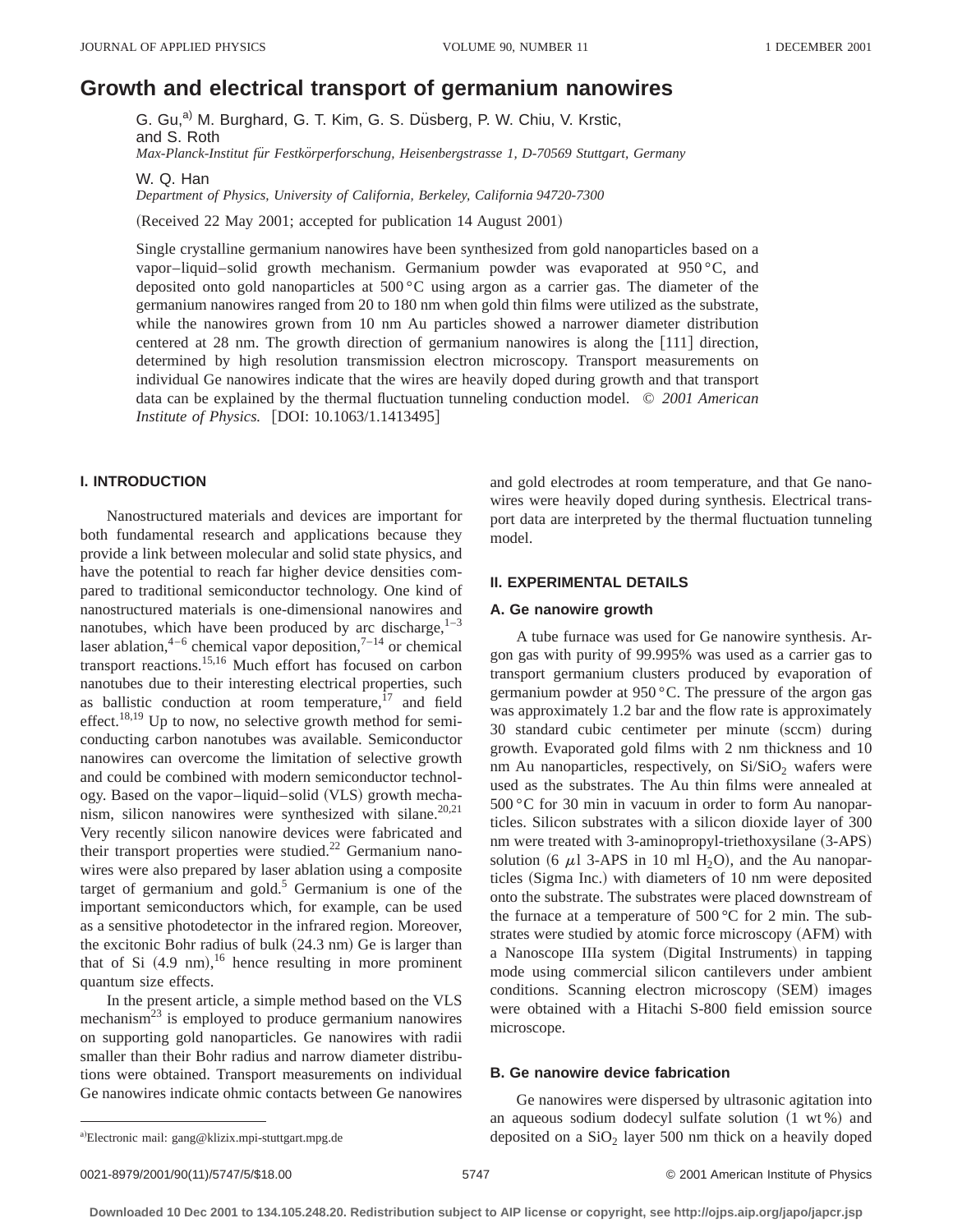# **Growth and electrical transport of germanium nanowires**

G. Gu,<sup>a)</sup> M. Burghard, G. T. Kim, G. S. Düsberg, P. W. Chiu, V. Krstic, and S. Roth *Max-Planck-Institut fu¨r Festko¨rperforschung, Heisenbergstrasse 1, D-70569 Stuttgart, Germany*

W. Q. Han

*Department of Physics, University of California, Berkeley, California 94720-7300*

(Received 22 May 2001; accepted for publication 14 August 2001)

Single crystalline germanium nanowires have been synthesized from gold nanoparticles based on a vapor–liquid–solid growth mechanism. Germanium powder was evaporated at 950 °C, and deposited onto gold nanoparticles at 500 °C using argon as a carrier gas. The diameter of the germanium nanowires ranged from 20 to 180 nm when gold thin films were utilized as the substrate, while the nanowires grown from 10 nm Au particles showed a narrower diameter distribution centered at 28 nm. The growth direction of germanium nanowires is along the  $[111]$  direction, determined by high resolution transmission electron microscopy. Transport measurements on individual Ge nanowires indicate that the wires are heavily doped during growth and that transport data can be explained by the thermal fluctuation tunneling conduction model. © *2001 American Institute of Physics.* [DOI: 10.1063/1.1413495]

# **I. INTRODUCTION**

Nanostructured materials and devices are important for both fundamental research and applications because they provide a link between molecular and solid state physics, and have the potential to reach far higher device densities compared to traditional semiconductor technology. One kind of nanostructured materials is one-dimensional nanowires and nanotubes, which have been produced by arc discharge, $1-3$ laser ablation,<sup>4–6</sup> chemical vapor deposition,<sup>7–14</sup> or chemical transport reactions.<sup>15,16</sup> Much effort has focused on carbon nanotubes due to their interesting electrical properties, such as ballistic conduction at room temperature, $17$  and field effect.<sup>18,19</sup> Up to now, no selective growth method for semiconducting carbon nanotubes was available. Semiconductor nanowires can overcome the limitation of selective growth and could be combined with modern semiconductor technology. Based on the vapor–liquid–solid (VLS) growth mechanism, silicon nanowires were synthesized with silane.<sup>20,21</sup> Very recently silicon nanowire devices were fabricated and their transport properties were studied.<sup>22</sup> Germanium nanowires were also prepared by laser ablation using a composite target of germanium and gold. $5$  Germanium is one of the important semiconductors which, for example, can be used as a sensitive photodetector in the infrared region. Moreover, the excitonic Bohr radius of bulk  $(24.3 \text{ nm})$  Ge is larger than that of Si  $(4.9 \text{ nm})$ , <sup>16</sup> hence resulting in more prominent quantum size effects.

In the present article, a simple method based on the VLS mechanism<sup>23</sup> is employed to produce germanium nanowires on supporting gold nanoparticles. Ge nanowires with radii smaller than their Bohr radius and narrow diameter distributions were obtained. Transport measurements on individual Ge nanowires indicate ohmic contacts between Ge nanowires and gold electrodes at room temperature, and that Ge nanowires were heavily doped during synthesis. Electrical transport data are interpreted by the thermal fluctuation tunneling model.

## **II. EXPERIMENTAL DETAILS**

#### **A. Ge nanowire growth**

A tube furnace was used for Ge nanowire synthesis. Argon gas with purity of 99.995% was used as a carrier gas to transport germanium clusters produced by evaporation of germanium powder at 950 °C. The pressure of the argon gas was approximately 1.2 bar and the flow rate is approximately 30 standard cubic centimeter per minute (sccm) during growth. Evaporated gold films with 2 nm thickness and 10 nm Au nanoparticles, respectively, on  $Si/SiO<sub>2</sub>$  wafers were used as the substrates. The Au thin films were annealed at 500 °C for 30 min in vacuum in order to form Au nanoparticles. Silicon substrates with a silicon dioxide layer of 300 nm were treated with 3-aminopropyl-triethoxysilane (3-APS) solution (6  $\mu$ 1 3-APS in 10 ml H<sub>2</sub>O), and the Au nanoparticles (Sigma Inc.) with diameters of 10 nm were deposited onto the substrate. The substrates were placed downstream of the furnace at a temperature of  $500^{\circ}$ C for 2 min. The substrates were studied by atomic force microscopy (AFM) with a Nanoscope IIIa system (Digital Instruments) in tapping mode using commercial silicon cantilevers under ambient conditions. Scanning electron microscopy (SEM) images were obtained with a Hitachi S-800 field emission source microscope.

#### **B. Ge nanowire device fabrication**

0021-8979/2001/90(11)/5747/5/\$18.00 © 2001 American Institute of Physics 5747

Ge nanowires were dispersed by ultrasonic agitation into an aqueous sodium dodecyl sulfate solution  $(1 \text{ wt } \%)$  and deposited on a  $SiO<sub>2</sub>$  layer 500 nm thick on a heavily doped

a)Electronic mail: gang@klizix.mpi-stuttgart.mpg.de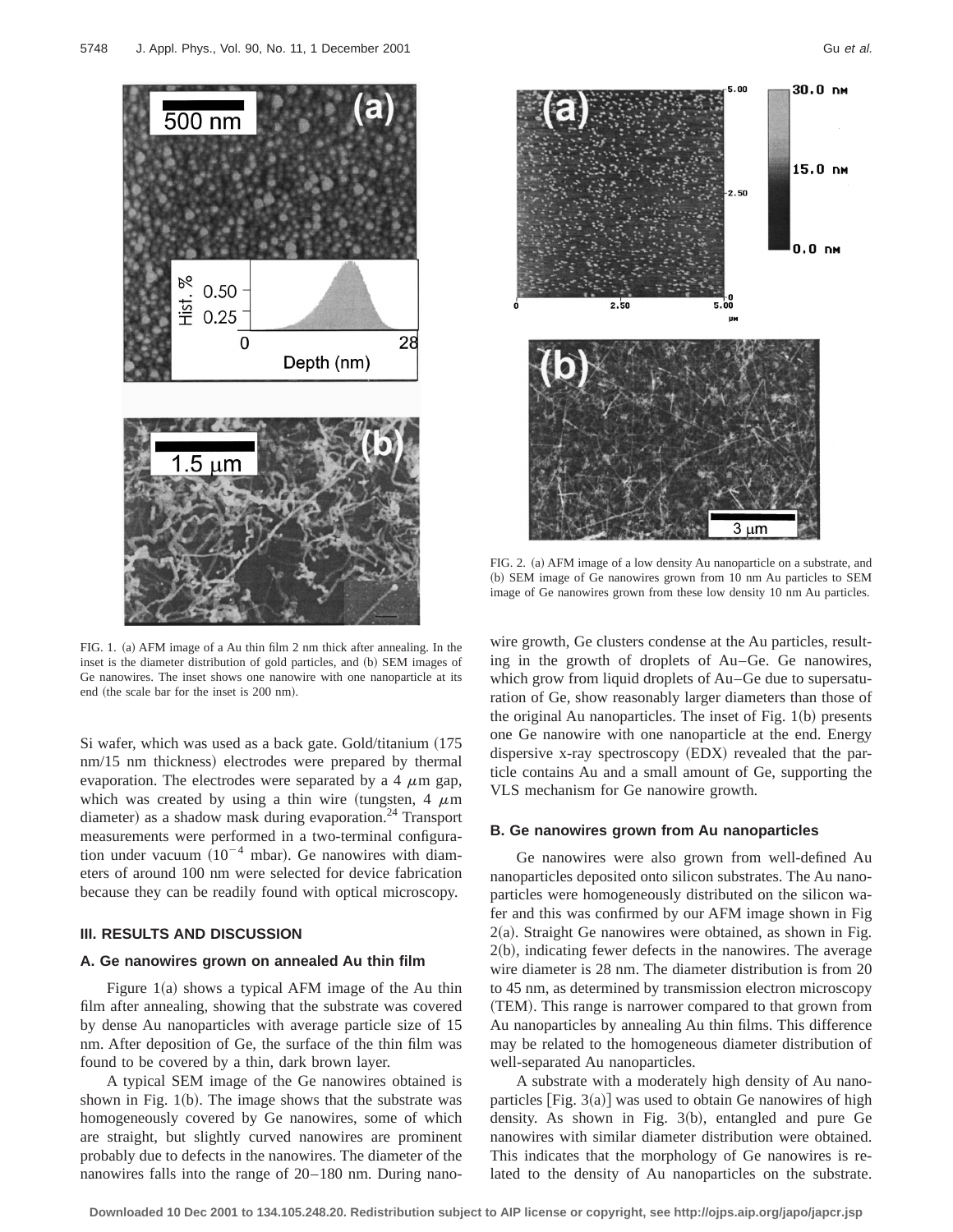



FIG. 1. (a) AFM image of a Au thin film 2 nm thick after annealing. In the inset is the diameter distribution of gold particles, and (b) SEM images of Ge nanowires. The inset shows one nanowire with one nanoparticle at its end (the scale bar for the inset is 200 nm).

Si wafer, which was used as a back gate. Gold/titanium  $(175$ nm/15 nm thickness) electrodes were prepared by thermal evaporation. The electrodes were separated by a 4  $\mu$ m gap, which was created by using a thin wire (tungsten, 4  $\mu$ m diameter) as a shadow mask during evaporation.<sup>24</sup> Transport measurements were performed in a two-terminal configuration under vacuum  $(10^{-4} \text{ mbar})$ . Ge nanowires with diameters of around 100 nm were selected for device fabrication because they can be readily found with optical microscopy.

## **III. RESULTS AND DISCUSSION**

## **A. Ge nanowires grown on annealed Au thin film**

Figure  $1(a)$  shows a typical AFM image of the Au thin film after annealing, showing that the substrate was covered by dense Au nanoparticles with average particle size of 15 nm. After deposition of Ge, the surface of the thin film was found to be covered by a thin, dark brown layer.

A typical SEM image of the Ge nanowires obtained is shown in Fig.  $1(b)$ . The image shows that the substrate was homogeneously covered by Ge nanowires, some of which are straight, but slightly curved nanowires are prominent probably due to defects in the nanowires. The diameter of the nanowires falls into the range of 20–180 nm. During nano-



FIG. 2. (a) AFM image of a low density Au nanoparticle on a substrate, and (b) SEM image of Ge nanowires grown from 10 nm Au particles to SEM image of Ge nanowires grown from these low density 10 nm Au particles.

wire growth, Ge clusters condense at the Au particles, resulting in the growth of droplets of Au–Ge. Ge nanowires, which grow from liquid droplets of Au–Ge due to supersaturation of Ge, show reasonably larger diameters than those of the original Au nanoparticles. The inset of Fig.  $1(b)$  presents one Ge nanowire with one nanoparticle at the end. Energy dispersive x-ray spectroscopy  $(EDX)$  revealed that the particle contains Au and a small amount of Ge, supporting the VLS mechanism for Ge nanowire growth.

## **B. Ge nanowires grown from Au nanoparticles**

Ge nanowires were also grown from well-defined Au nanoparticles deposited onto silicon substrates. The Au nanoparticles were homogeneously distributed on the silicon wafer and this was confirmed by our AFM image shown in Fig  $2(a)$ . Straight Ge nanowires were obtained, as shown in Fig.  $2(b)$ , indicating fewer defects in the nanowires. The average wire diameter is 28 nm. The diameter distribution is from 20 to 45 nm, as determined by transmission electron microscopy (TEM). This range is narrower compared to that grown from Au nanoparticles by annealing Au thin films. This difference may be related to the homogeneous diameter distribution of well-separated Au nanoparticles.

A substrate with a moderately high density of Au nanoparticles  $[Fig. 3(a)]$  was used to obtain Ge nanowires of high density. As shown in Fig.  $3(b)$ , entangled and pure Ge nanowires with similar diameter distribution were obtained. This indicates that the morphology of Ge nanowires is related to the density of Au nanoparticles on the substrate.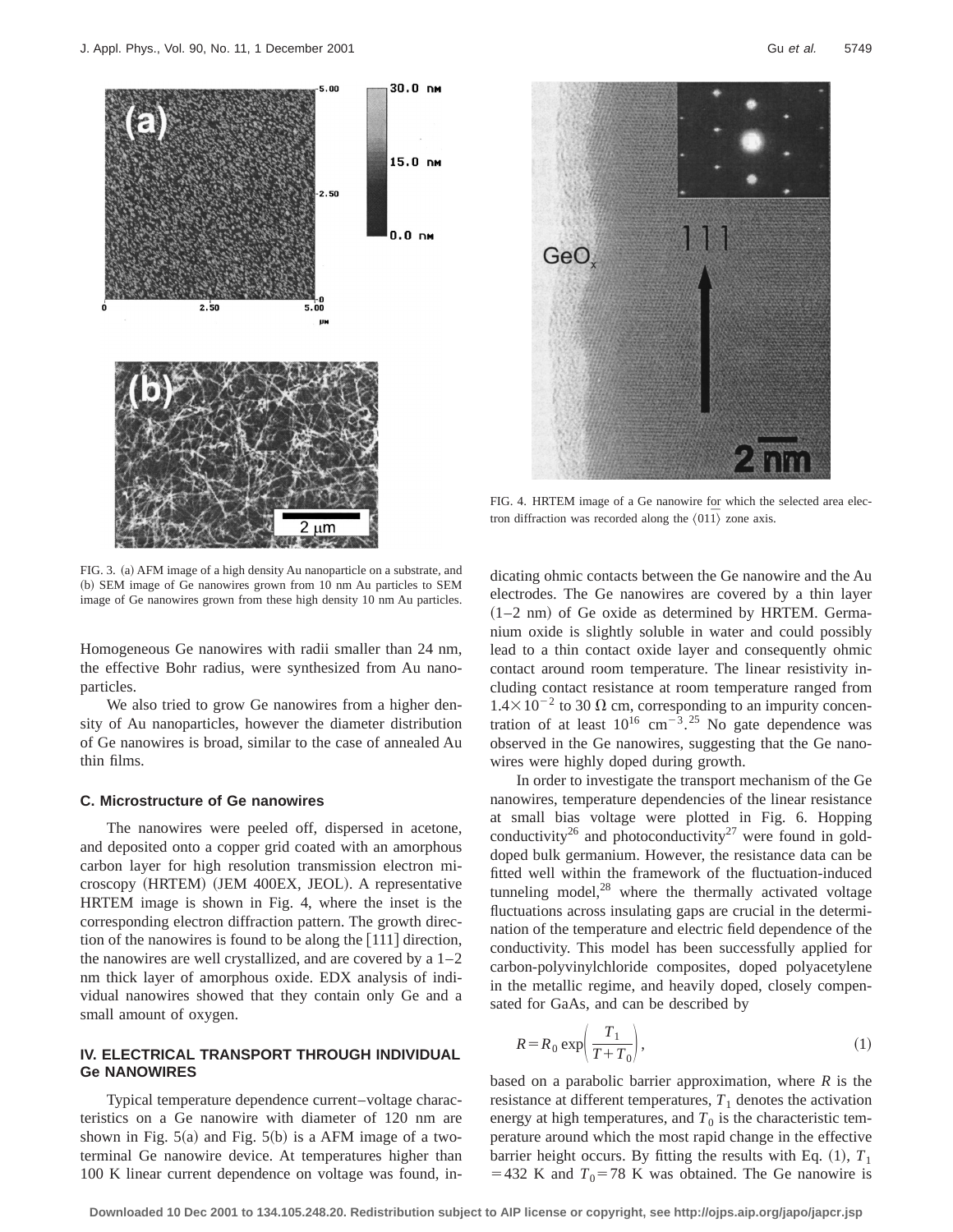

FIG. 3. (a) AFM image of a high density Au nanoparticle on a substrate, and (b) SEM image of Ge nanowires grown from 10 nm Au particles to SEM image of Ge nanowires grown from these high density 10 nm Au particles.

Homogeneous Ge nanowires with radii smaller than 24 nm, the effective Bohr radius, were synthesized from Au nanoparticles.

We also tried to grow Ge nanowires from a higher density of Au nanoparticles, however the diameter distribution of Ge nanowires is broad, similar to the case of annealed Au thin films.

#### **C. Microstructure of Ge nanowires**

The nanowires were peeled off, dispersed in acetone, and deposited onto a copper grid coated with an amorphous carbon layer for high resolution transmission electron microscopy (HRTEM) (JEM 400EX, JEOL). A representative HRTEM image is shown in Fig. 4, where the inset is the corresponding electron diffraction pattern. The growth direction of the nanowires is found to be along the  $[111]$  direction, the nanowires are well crystallized, and are covered by a  $1-2$ nm thick layer of amorphous oxide. EDX analysis of individual nanowires showed that they contain only Ge and a small amount of oxygen.

## **IV. ELECTRICAL TRANSPORT THROUGH INDIVIDUAL Ge NANOWIRES**

Typical temperature dependence current–voltage characteristics on a Ge nanowire with diameter of 120 nm are shown in Fig.  $5(a)$  and Fig.  $5(b)$  is a AFM image of a twoterminal Ge nanowire device. At temperatures higher than 100 K linear current dependence on voltage was found, in-



FIG. 4. HRTEM image of a Ge nanowire for which the selected area electron diffraction was recorded along the  $\langle 011 \rangle$  zone axis.

dicating ohmic contacts between the Ge nanowire and the Au electrodes. The Ge nanowires are covered by a thin layer  $(1-2 \text{ nm})$  of Ge oxide as determined by HRTEM. Germanium oxide is slightly soluble in water and could possibly lead to a thin contact oxide layer and consequently ohmic contact around room temperature. The linear resistivity including contact resistance at room temperature ranged from  $1.4\times10^{-2}$  to 30  $\Omega$  cm, corresponding to an impurity concentration of at least  $10^{16}$  cm<sup>-3</sup>.<sup>25</sup> No gate dependence was observed in the Ge nanowires, suggesting that the Ge nanowires were highly doped during growth.

In order to investigate the transport mechanism of the Ge nanowires, temperature dependencies of the linear resistance at small bias voltage were plotted in Fig. 6. Hopping conductivity<sup>26</sup> and photoconductivity<sup>27</sup> were found in golddoped bulk germanium. However, the resistance data can be fitted well within the framework of the fluctuation-induced tunneling model, $28$  where the thermally activated voltage fluctuations across insulating gaps are crucial in the determination of the temperature and electric field dependence of the conductivity. This model has been successfully applied for carbon-polyvinylchloride composites, doped polyacetylene in the metallic regime, and heavily doped, closely compensated for GaAs, and can be described by

$$
R = R_0 \exp\left(\frac{T_1}{T + T_0}\right),\tag{1}
$$

based on a parabolic barrier approximation, where *R* is the resistance at different temperatures,  $T_1$  denotes the activation energy at high temperatures, and  $T_0$  is the characteristic temperature around which the most rapid change in the effective barrier height occurs. By fitting the results with Eq.  $(1)$ ,  $T_1$ =432 K and  $T_0$ =78 K was obtained. The Ge nanowire is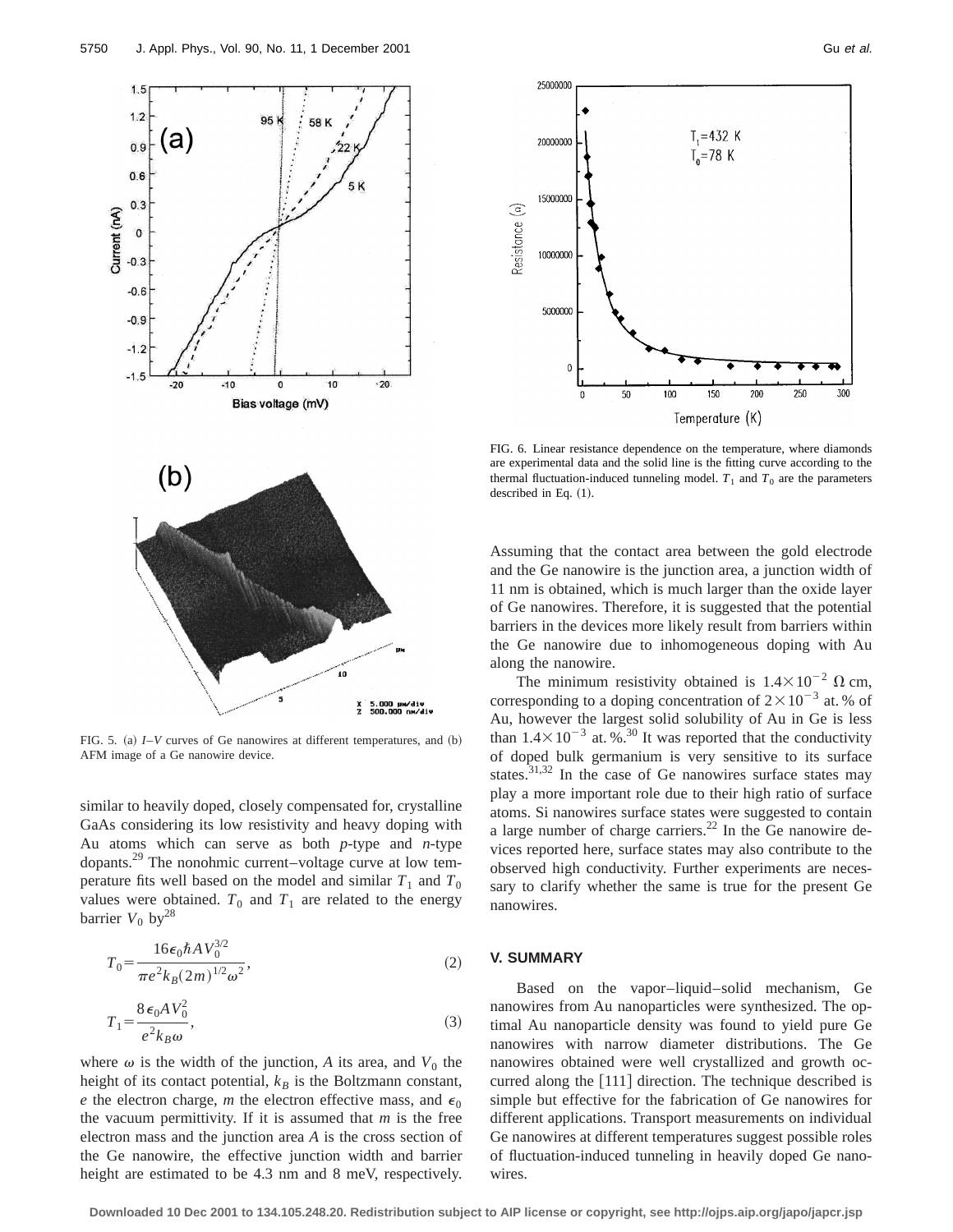

FIG. 5. (a)  $I-V$  curves of Ge nanowires at different temperatures, and  $(b)$ AFM image of a Ge nanowire device.

similar to heavily doped, closely compensated for, crystalline GaAs considering its low resistivity and heavy doping with Au atoms which can serve as both *p*-type and *n*-type dopants.29 The nonohmic current–voltage curve at low temperature fits well based on the model and similar  $T_1$  and  $T_0$ values were obtained.  $T_0$  and  $T_1$  are related to the energy barrier  $V_0$  by<sup>28</sup>

$$
T_0 = \frac{16\epsilon_0 \hbar A V_0^{3/2}}{\pi e^2 k_B (2m)^{1/2} \omega^2},\tag{2}
$$

$$
T_1 = \frac{8\,\epsilon_0 A \,V_0^2}{e^2 k_B \omega},\tag{3}
$$

where  $\omega$  is the width of the junction, A its area, and  $V_0$  the height of its contact potential,  $k_B$  is the Boltzmann constant, *e* the electron charge, *m* the electron effective mass, and  $\epsilon_0$ the vacuum permittivity. If it is assumed that *m* is the free electron mass and the junction area *A* is the cross section of the Ge nanowire, the effective junction width and barrier height are estimated to be 4.3 nm and 8 meV, respectively.



FIG. 6. Linear resistance dependence on the temperature, where diamonds are experimental data and the solid line is the fitting curve according to the thermal fluctuation-induced tunneling model.  $T_1$  and  $T_0$  are the parameters described in Eq.  $(1)$ .

Assuming that the contact area between the gold electrode and the Ge nanowire is the junction area, a junction width of 11 nm is obtained, which is much larger than the oxide layer of Ge nanowires. Therefore, it is suggested that the potential barriers in the devices more likely result from barriers within the Ge nanowire due to inhomogeneous doping with Au along the nanowire.

The minimum resistivity obtained is  $1.4 \times 10^{-2}$   $\Omega$  cm, corresponding to a doping concentration of  $2 \times 10^{-3}$  at. % of Au, however the largest solid solubility of Au in Ge is less than  $1.4\times10^{-3}$  at. %<sup>30</sup> It was reported that the conductivity of doped bulk germanium is very sensitive to its surface states. $31,32$  In the case of Ge nanowires surface states may play a more important role due to their high ratio of surface atoms. Si nanowires surface states were suggested to contain a large number of charge carriers. $22$  In the Ge nanowire devices reported here, surface states may also contribute to the observed high conductivity. Further experiments are necessary to clarify whether the same is true for the present Ge nanowires.

## **V. SUMMARY**

Based on the vapor–liquid–solid mechanism, Ge nanowires from Au nanoparticles were synthesized. The optimal Au nanoparticle density was found to yield pure Ge nanowires with narrow diameter distributions. The Ge nanowires obtained were well crystallized and growth occurred along the  $[111]$  direction. The technique described is simple but effective for the fabrication of Ge nanowires for different applications. Transport measurements on individual Ge nanowires at different temperatures suggest possible roles of fluctuation-induced tunneling in heavily doped Ge nanowires.

**Downloaded 10 Dec 2001 to 134.105.248.20. Redistribution subject to AIP license or copyright, see http://ojps.aip.org/japo/japcr.jsp**